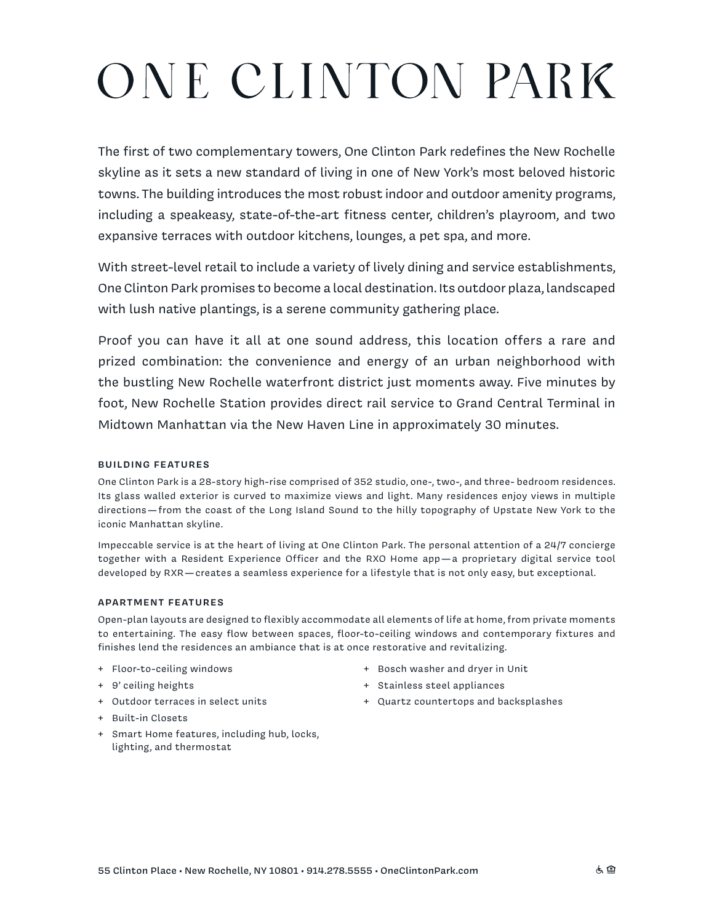# ONE CLINTON PARK

The first of two complementary towers, One Clinton Park redefines the New Rochelle skyline as it sets a new standard of living in one of New York's most beloved historic towns. The building introduces the most robust indoor and outdoor amenity programs, including a speakeasy, state-of-the-art fitness center, children's playroom, and two expansive terraces with outdoor kitchens, lounges, a pet spa, and more.

With street-level retail to include a variety of lively dining and service establishments, One Clinton Park promises to become a local destination. Its outdoor plaza, landscaped with lush native plantings, is a serene community gathering place.

Proof you can have it all at one sound address, this location offers a rare and prized combination: the convenience and energy of an urban neighborhood with the bustling New Rochelle waterfront district just moments away. Five minutes by foot, New Rochelle Station provides direct rail service to Grand Central Terminal in Midtown Manhattan via the New Haven Line in approximately 30 minutes.

## **BUILDING FEATURES**

One Clinton Park is a 28-story high-rise comprised of 352 studio, one-, two-, and three- bedroom residences. Its glass walled exterior is curved to maximize views and light. Many residences enjoy views in multiple directions—from the coast of the Long Island Sound to the hilly topography of Upstate New York to the iconic Manhattan skyline.

Impeccable service is at the heart of living at One Clinton Park. The personal attention of a 24/7 concierge together with a Resident Experience Officer and the RXO Home app—a proprietary digital service tool developed by RXR—creates a seamless experience for a lifestyle that is not only easy, but exceptional.

### **APARTMENT FEATURES**

Open-plan layouts are designed to flexibly accommodate all elements of life at home, from private moments to entertaining. The easy flow between spaces, floor-to-ceiling windows and contemporary fixtures and finishes lend the residences an ambiance that is at once restorative and revitalizing.

- + Floor-to-ceiling windows
- + 9' ceiling heights
- + Outdoor terraces in select units
- + Built-in Closets
- + Smart Home features, including hub, locks, lighting, and thermostat
- + Bosch washer and dryer in Unit
- + Stainless steel appliances
- + Quartz countertops and backsplashes